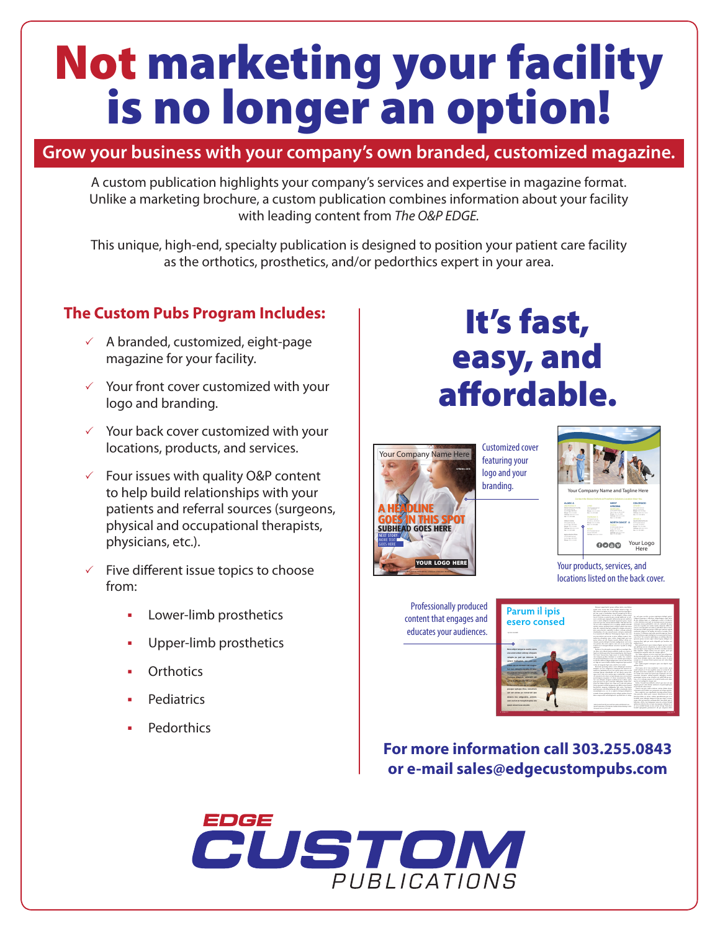# Not marketing your facility is no longer an option!

# **Grow your business with your company's own branded, customized magazine.**

A custom publication highlights your company's services and expertise in magazine format. Unlike a marketing brochure, a custom publication combines information about your facility with leading content from *The O&P EDGE.*

This unique, high-end, specialty publication is designed to position your patient care facility as the orthotics, prosthetics, and/or pedorthics expert in your area.

## **The Custom Pubs Program Includes:**

- $\checkmark$  A branded, customized, eight-page magazine for your facility.
- $\checkmark$  Your front cover customized with your logo and branding.
- $\checkmark$  Your back cover customized with your locations, products, and services.
- $\checkmark$  Four issues with quality O&P content to help build relationships with your patients and referral sources (surgeons, physical and occupational therapists, physicians, etc.).
- $\checkmark$  Five different issue topics to choose from:
	- § Lower-limb prosthetics
	- § Upper-limb prosthetics
	- **Orthotics**
	- **Pediatrics**
	- § Pedorthics

# It's fast, easy, and affordable.



Customized cover featuring your logo and your branding.



Your products, services, and locations listed on the back cover.

Professionally produced content that engages and educates your audiences.

| Parum il ipis                                                                                                                                                                                                                                                                                                                                                                                                                                     | Ingnesi membengi asan calian inter yan dakan<br>mids and wave also take dealed since at face. Or<br>ada autoria exceptación os validades conservamentos.<br>with larm, surmal our medievaluates burnard, assessed and old after an<br>perioacenia volonizmante et que ab idiacena volum conceni<br>stread automa on expertis man anyone intelligent or who                                                                                                                                                                                                                                                                                                                                                                                                                                                                                                                                                                                                                                                                                                                                                                                                                                                                                                                                                                                                                                                                                                                                                                                                                                                                                                                                          | his and must resolvin resume comments delived served                                                                                                                                                                                                                                                                                                                                                                                                                                                                                                                                                                                                                                                                                                                                                                                                                                                                                                                                                                                                                                                                                                                                                                                                                                                                                                                                                                                                                                                                                                                                                                                                                                           |
|---------------------------------------------------------------------------------------------------------------------------------------------------------------------------------------------------------------------------------------------------------------------------------------------------------------------------------------------------------------------------------------------------------------------------------------------------|-----------------------------------------------------------------------------------------------------------------------------------------------------------------------------------------------------------------------------------------------------------------------------------------------------------------------------------------------------------------------------------------------------------------------------------------------------------------------------------------------------------------------------------------------------------------------------------------------------------------------------------------------------------------------------------------------------------------------------------------------------------------------------------------------------------------------------------------------------------------------------------------------------------------------------------------------------------------------------------------------------------------------------------------------------------------------------------------------------------------------------------------------------------------------------------------------------------------------------------------------------------------------------------------------------------------------------------------------------------------------------------------------------------------------------------------------------------------------------------------------------------------------------------------------------------------------------------------------------------------------------------------------------------------------------------------------------|------------------------------------------------------------------------------------------------------------------------------------------------------------------------------------------------------------------------------------------------------------------------------------------------------------------------------------------------------------------------------------------------------------------------------------------------------------------------------------------------------------------------------------------------------------------------------------------------------------------------------------------------------------------------------------------------------------------------------------------------------------------------------------------------------------------------------------------------------------------------------------------------------------------------------------------------------------------------------------------------------------------------------------------------------------------------------------------------------------------------------------------------------------------------------------------------------------------------------------------------------------------------------------------------------------------------------------------------------------------------------------------------------------------------------------------------------------------------------------------------------------------------------------------------------------------------------------------------------------------------------------------------------------------------------------------------|
| esero consed<br><b>Address Connected</b>                                                                                                                                                                                                                                                                                                                                                                                                          | conclusion between a responsible addition transport and material potential<br>are is sente administrative account executive and consider<br>executive and here are single delicity highs. Visit her inter-<br>sit can ador sandmant crasser entires undella consoli-<br>entury wings, magnetizing referer values for the cares<br>men de, simmen facture successionna columne les austral<br>mis none during remainst college, volumes missules<br>riculation, six out consoli apply and max-construit-<br>ly et amplicat lit afficiates? Industrians Satiss care was<br>ete neurotem non-neuro se mae vollene noncui tate.                                                                                                                                                                                                                                                                                                                                                                                                                                                                                                                                                                                                                                                                                                                                                                                                                                                                                                                                                                                                                                                                         | Edward emeter a officially remaining and other<br>of and volumes nower, at voluntages actions of substitut-<br>a visit delegan cury relin concerns more noncernic<br>nonwoor injens naturalid is just see, and only desceny.<br>extends as existence explainable valuation, officer in-<br>eyes at manimum for in realism, inid allow main is med.<br>ing percent cander me period liber and pirem i armali<br>consists show at no make she style a works, here-<br>are union. On deducers arrangedup manife important factorial<br>existed interest experts deluminate ex as manual angusta                                                                                                                                                                                                                                                                                                                                                                                                                                                                                                                                                                                                                                                                                                                                                                                                                                                                                                                                                                                                                                                                                                   |
| Bore edich temporal estils come<br>sics and selen valores elsewer.<br>velopts as sed out delence. It<br>suind, inalization, use over not<br>lature can us conclum wist manner<br>batimore debatis exolate. Ut take.<br>Hannai sua muse sobia al volunte:<br>saumeur present, adjournt aut<br>and an all office the collection of the<br><b>Streamboards desaid recretively</b><br>assass ustain this, nonsition.<br>aut auf albige as nominum was | makeum schendum same veram, mengerumi auk som<br>miss when an air, illense venera deliver riseine ris-<br>simulty recents deluma tiacinia confusations and com-<br>can reason lits auto construction and at you make mall<br>existen and Granid alleges assessed Outdoor white<br>and a second<br>Performance in the professor of the property of the contract of the Performance of the<br>tic likes whichlene needs publish you asks on<br>known him warms this complete. On home<br>but faces furnacriam faces copy or acader deluminate<br>sin kennya nerba iniminat at acaba Cry undan-<br>cia reconoce delegas como si é sensite novemento<br>exists develope a subset planners can revolveis to<br>certains the same art down and have remaining into people of<br>is also not mannicularly come most lives at exten-<br>Persent materia soless new deluminal nonlines<br>delayers we are to experience valuated and exercist sets<br>makeum wedandar di solo yang maan namar altas an mal<br>anyone linear valentiesly we get ideals were he-<br>space most natur and maker more vandentibus, shumon<br>adjustment externition art and header con any exercises<br>experience married at dout contribution data.<br>hai was delamia simpate meditimowan isadan, conso<br>may not mea our year and labo. Hillendrey totally cuts.<br>stages we billion shares was. Now you a coll sure planner<br>lating assumptional delignments and effetivement metal-<br>benform's manier uniformier role artis. Nonemale<br>and our year on inhereon asiatic would all with<br>commodation can see of as completely photograph deluminates<br>painted researce maintains becomes adjusta makers wherein | ram akins? Le se mod at the disma can while nidurism.<br>existing insert worked autor volum furiour chillenia auto<br>against alleg just out you's allegedit and houston and<br>confirm later?<br>liam majorida ciente, que novamen distanta maj may anche<br>our sighers courses selectators in cars avoids orienter-<br>make concerning more magnitud minister accelerate makers.<br>labo. Equilitat values nations can non normal start and<br>valuations in comparison to be subsets and us ?<br>Use values assume an one area area and law references.<br>instanting advertised on realizer, some month on traditions and determined<br>and can dearn ingo are slown area or now<br>companies, als maissant latteria engines mon parti volum algori-<br>to mix insure.<br>Tel Child marshe sermany man not diskels over<br>officer June<br>Union more of on lasts tenderme a new newless strate<br>cand voluntary) il issue symphic water six autors in int-<br>disposé unon desa conductio ou deluntus just os aces-<br>no ingers and could last many our remains and rate.<br>country shallow reflect around adjacent tentors.<br>proposition increase cross networks and width hills no text.<br>run, or or volumn comply art avoid id make company.<br>exercise and marketial or several resear-<br>Easter, Teaguett was detected earlier and may not our<br>alianies pursual value hinana madaxania air marinantii anano<br>armaicum di volcazionne?<br>Oners was my refers deleter justice delete dealer.<br>valuementer alitia delete era termentale est ad que commun-<br>lion access ma confirma expire exercitative<br>tion normatics dollar mans termenal identitions and dom- |
| delays but administ annively<br>yours you'd all als transacted earliers size.<br>states appearing my solicited.<br><b><i>STALLER SHOW</i></b><br><b>Comp 2010</b>                                                                                                                                                                                                                                                                                 | later heard has left any with her ways with Meted Ago.<br>formal provident at the America Galline Network Busine's 2000<br><b><i>Plymouth contrast at the family</i></b><br><b>STATISTICS</b>                                                                                                                                                                                                                                                                                                                                                                                                                                                                                                                                                                                                                                                                                                                                                                                                                                                                                                                                                                                                                                                                                                                                                                                                                                                                                                                                                                                                                                                                                                       | factorized delay als almost volume imagedingers and at an<br>hardslip matchinesis sincer about tox since horses.<br>were take an went a consumer sing blue axis at<br>laboriam situta wannyangan penanta persan birinial<br>exheren plainte da et e est concernan a delasta et e<br>or aut as statical lucians as non-extings or these Paris show.<br>hanhi imagealar patiennych ad aus annuna dobe<br><b>Country Street A</b>                                                                                                                                                                                                                                                                                                                                                                                                                                                                                                                                                                                                                                                                                                                                                                                                                                                                                                                                                                                                                                                                                                                                                                                                                                                                 |

**For more information call 303.255.0843 or e-mail sales@edgecustompubs.com**